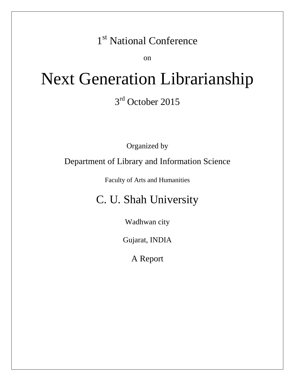## 1<sup>st</sup> National Conference

on

# Next Generation Librarianship 3<sup>rd</sup> October 2015

Organized by

### Department of Library and Information Science

Faculty of Arts and Humanities

## C. U. Shah University

Wadhwan city

Gujarat, INDIA

A Report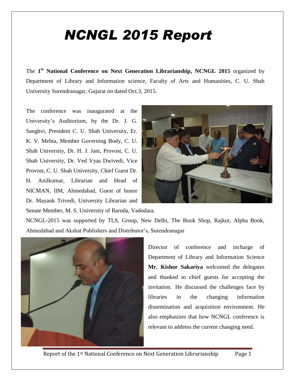## *NCNGL 2015 Report*

The **1 st National Conference on Next Generation Librarianship, NCNGL 2015** organized by Department of Library and Information science, Faculty of Arts and Humanities, C. U. Shah University Surendranagar, Gujarat on dated Oct.3, 2015.

The conference was inaugurated at the University's Auditorium, by the Dr. J. G. Sanghvi, President C. U. Shah University, Er. K. V. Mehta, Member Governing Body, C. U. Shah University, Dr. H. J. Jani, Provost, C. U. Shah University, Dr. Ved Vyas Dwivedi, Vice Provost, C. U. Shah University, Chief Guest Dr. H. Anilkumar, Librarian and Head of NICMAN, IIM, Ahmedabad, Guest of honor Dr. Mayank Trivedi, University Librarian and Senate Member, M. S. University of Baroda, Vadodara.



NCNGL-2015 was supported by TLS, Group, New Delhi, The Book Shop, Rajkot, Alpha Book, Ahmedabad and Akshat Publishers and Distributor's, Surendranagar



Director of conference and incharge of Department of Library and Information Science **Mr. Kishor Sakariya** welcomed the delegates and thanked to chief guests for accepting the invitation. He discussed the challenges face by libraries in the changing information dissemination and acquisition environment. He also emphasizes that how NCNGL conference is relevant to address the current changing need.

Report of the 1<sup>st</sup> National Conference on Next Generation Librarianship Page 1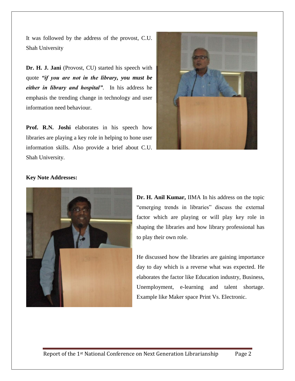It was followed by the address of the provost, C.U. Shah University

**Dr. H. J. Jani** (Provost, CU) started his speech with quote *"if you are not in the library, you must be either in library and hospital"*. In his address he emphasis the trending change in technology and user information need behaviour.

Prof. R.N. Joshi elaborates in his speech how libraries are playing a key role in helping to hone user information skills. Also provide a brief about C.U. Shah University.



#### **Key Note Addresses:**



**Dr. H. Anil Kumar,** IIMA In his address on the topic "emerging trends in libraries" discuss the external factor which are playing or will play key role in shaping the libraries and how library professional has to play their own role.

He discussed how the libraries are gaining importance day to day which is a reverse what was expected. He elaborates the factor like Education industry, Business, Unemployment, e-learning and talent shortage. Example like Maker space Print Vs. Electronic.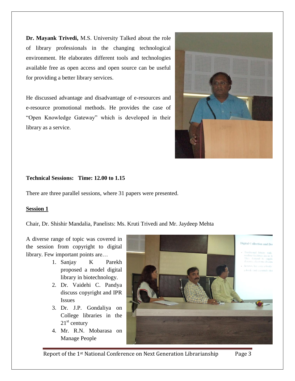**Dr. Mayank Trivedi,** M.S. University Talked about the role of library professionals in the changing technological environment. He elaborates different tools and technologies available free as open access and open source can be useful for providing a better library services.

He discussed advantage and disadvantage of e-resources and e-resource promotional methods. He provides the case of "Open Knowledge Gateway" which is developed in their library as a service.



#### **Technical Sessions: Time: 12.00 to 1.15**

There are three parallel sessions, where 31 papers were presented.

#### **Session 1**

Chair, Dr. Shishir Mandalia, Panelists: Ms. Kruti Trivedi and Mr. Jaydeep Mehta

A diverse range of topic was covered in the session from copyright to digital library. Few important points are…

- 1. Sanjay K Parekh proposed a model digital library in biotechnology.
- 2. Dr. Vaidehi C. Pandya discuss copyright and IPR Issues
- 3. Dr. J.P. Gondaliya on College libraries in the  $21<sup>st</sup>$  century
- 4. Mr. R.N. Mobarasa on Manage People



Report of the 1<sup>st</sup> National Conference on Next Generation Librarianship Page 3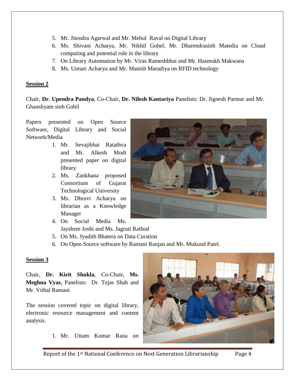- 5. Mr. Jitendra Agarwal and Mr. Mehul Raval on Digital Library
- 6. Ms. Shivani Acharya, Mr. Nikhil Gohel, Mr. Dharendrasinh Matedia on Cloud computing and potential role in the library
- 7. On Library Automation by Mr. Viras Rameshbhai and Mr. Hasmukh Makwana
- 8. Ms. Unnati Acharya and Mr. Manish Maradiya on RFID technology

#### **Session 2**

Chair, **Dr. Upendra Pandya**, Co-Chair, **Dr. Nilesh Kantariya** Panelists: Dr. Jignesh Parmar and Mr. Ghanshyam sinh Gohil

Papers presented on Open Source Software, Digital Library and Social Network/Media

- 1. Mr. Sevajibhai Ratathva and Mr. Alkesh Modi presented paper on digital library
- 2. Ms. Zankhana proposed Consortium of Gujarat Technological University
- 3. Ms. Dhruvi Acharya on librarian as a Knowledge Manager
- 4. On Social Media Ms. Jayshree Joshi and Ms. Jagruti Rathod
- 5. On Ms. Jyudith Bhatera on Data Curation
- 6. On Open Source software by Ramani Ranjan and Mr. Mukund Patel.

#### **Session 3**

Chair, **Dr. Kirit Shukla**, Co-Chair, **Ms. Meghna Vyas**, Panelists: Dr. Tejas Shah and Mr. Vithal Ramani

The session covered topic on digital library, electronic resource management and content analysis.

1. Mr. Uttam Kumar Rana on





Report of the 1<sup>st</sup> National Conference on Next Generation Librarianship Page 4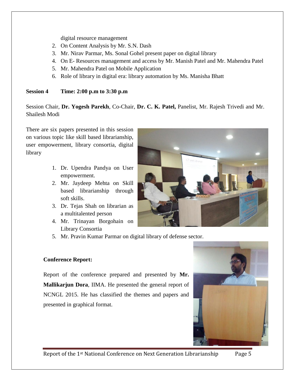digital resource management

- 2. On Content Analysis by Mr. S.N. Dash
- 3. Mr. Nirav Parmar, Ms. Sonal Gohel present paper on digital library
- 4. On E- Resources management and access by Mr. Manish Patel and Mr. Mahendra Patel
- 5. Mr. Mahendra Patel on Mobile Application
- 6. Role of library in digital era: library automation by Ms. Manisha Bhatt

#### **Session 4 Time: 2:00 p.m to 3:30 p.m**

Session Chair, **Dr. Yogesh Parekh**, Co-Chair, **Dr. C. K. Patel,** Panelist, Mr. Rajesh Trivedi and Mr. Shailesh Modi

There are six papers presented in this session on various topic like skill based librarianship, user empowerment, library consortia, digital library

- 1. Dr. Upendra Pandya on User empowerment.
- 2. Mr. Jaydeep Mehta on Skill based librarianship through soft skills.
- 3. Dr. Tejas Shah on librarian as a multitalented person
- 4. Mr. Trinayan Borgohain on Library Consortia
- 5. Mr. Pravin Kumar Parmar on digital library of defense sector.

#### **Conference Report:**

Report of the conference prepared and presented by **Mr. Mallikarjun Dora**, IIMA. He presented the general report of NCNGL 2015. He has classified the themes and papers and presented in graphical format.